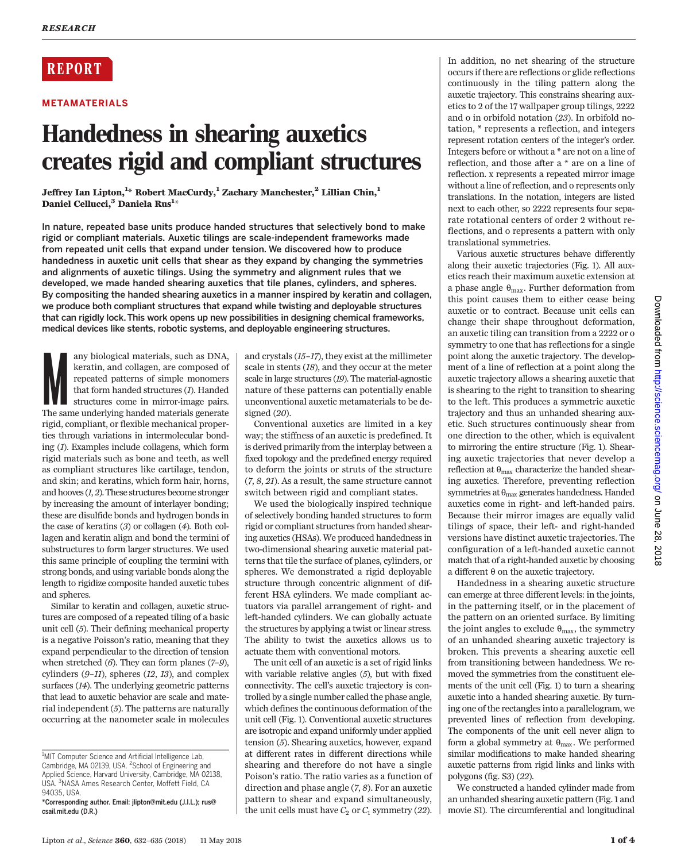# **REPORT**

## METAMATERIALS

# Handedness in shearing auxetics creates rigid and compliant structures

Jeffrey Ian Lipton, $^{1\ast}$  Robert MacCurdy, $^{1}$  Zachary Manchester, $^{2}$  Lillian Chin, $^{1}$ Daniel Cellucci,<sup>3</sup> Daniela Rus<sup>1</sup>\*

In nature, repeated base units produce handed structures that selectively bond to make rigid or compliant materials. Auxetic tilings are scale-independent frameworks made from repeated unit cells that expand under tension. We discovered how to produce handedness in auxetic unit cells that shear as they expand by changing the symmetries and alignments of auxetic tilings. Using the symmetry and alignment rules that we developed, we made handed shearing auxetics that tile planes, cylinders, and spheres. By compositing the handed shearing auxetics in a manner inspired by keratin and collagen, we produce both compliant structures that expand while twisting and deployable structures that can rigidly lock. This work opens up new possibilities in designing chemical frameworks, medical devices like stents, robotic systems, and deployable engineering structures.

any biological materials, such as DNA,<br>keratin, and collagen, are composed of<br>repeated patterns of simple monomers<br>that form handed structures (1). Handed<br>structures come in mirror-image pairs.<br>The same underlying handed m any biological materials, such as DNA, keratin, and collagen, are composed of repeated patterns of simple monomers that form handed structures (1). Handed structures come in mirror-image pairs. rigid, compliant, or flexible mechanical properties through variations in intermolecular bonding (1). Examples include collagens, which form rigid materials such as bone and teeth, as well as compliant structures like cartilage, tendon, and skin; and keratins, which form hair, horns, and hooves  $(1, 2)$ . These structures become stronger by increasing the amount of interlayer bonding; these are disulfide bonds and hydrogen bonds in the case of keratins (3) or collagen (4). Both collagen and keratin align and bond the termini of substructures to form larger structures. We used this same principle of coupling the termini with strong bonds, and using variable bonds along the length to rigidize composite handed auxetic tubes and spheres.

Similar to keratin and collagen, auxetic structures are composed of a repeated tiling of a basic unit cell (5). Their defining mechanical property is a negative Poisson's ratio, meaning that they expand perpendicular to the direction of tension when stretched  $(6)$ . They can form planes  $(7-9)$ , cylinders  $(9-11)$ , spheres  $(12, 13)$ , and complex surfaces (14). The underlying geometric patterns that lead to auxetic behavior are scale and material independent  $(5)$ . The patterns are naturally occurring at the nanometer scale in molecules

and crystals (15–17), they exist at the millimeter scale in stents (18), and they occur at the meter scale in large structures (19). The material-agnostic nature of these patterns can potentially enable unconventional auxetic metamaterials to be designed (20).

Conventional auxetics are limited in a key way; the stiffness of an auxetic is predefined. It is derived primarily from the interplay between a fixed topology and the predefined energy required to deform the joints or struts of the structure (7, 8, 21). As a result, the same structure cannot switch between rigid and compliant states.

We used the biologically inspired technique of selectively bonding handed structures to form rigid or compliant structures from handed shearing auxetics (HSAs). We produced handedness in two-dimensional shearing auxetic material patterns that tile the surface of planes, cylinders, or spheres. We demonstrated a rigid deployable structure through concentric alignment of different HSA cylinders. We made compliant actuators via parallel arrangement of right- and left-handed cylinders. We can globally actuate the structures by applying a twist or linear stress. The ability to twist the auxetics allows us to actuate them with conventional motors.

The unit cell of an auxetic is a set of rigid links with variable relative angles (5), but with fixed connectivity. The cell's auxetic trajectory is controlled by a single number called the phase angle, which defines the continuous deformation of the unit cell (Fig. 1). Conventional auxetic structures are isotropic and expand uniformly under applied tension (5). Shearing auxetics, however, expand at different rates in different directions while shearing and therefore do not have a single Poison's ratio. The ratio varies as a function of direction and phase angle (7, 8). For an auxetic pattern to shear and expand simultaneously, the unit cells must have  $C_2$  or  $C_1$  symmetry (22). In addition, no net shearing of the structure occurs if there are reflections or glide reflections continuously in the tiling pattern along the auxetic trajectory. This constrains shearing auxetics to 2 of the 17 wallpaper group tilings, 2222 and o in orbifold notation (23). In orbifold notation, \* represents a reflection, and integers represent rotation centers of the integer's order. Integers before or without a \* are not on a line of reflection, and those after a \* are on a line of reflection. x represents a repeated mirror image without a line of reflection, and o represents only translations. In the notation, integers are listed next to each other, so 2222 represents four separate rotational centers of order 2 without reflections, and o represents a pattern with only translational symmetries.

Various auxetic structures behave differently along their auxetic trajectories (Fig. 1). All auxetics reach their maximum auxetic extension at a phase angle  $\theta_{\text{max}}$ . Further deformation from this point causes them to either cease being auxetic or to contract. Because unit cells can change their shape throughout deformation, an auxetic tiling can transition from a 2222 or o symmetry to one that has reflections for a single point along the auxetic trajectory. The development of a line of reflection at a point along the auxetic trajectory allows a shearing auxetic that is shearing to the right to transition to shearing to the left. This produces a symmetric auxetic trajectory and thus an unhanded shearing auxetic. Such structures continuously shear from one direction to the other, which is equivalent to mirroring the entire structure (Fig. 1). Shearing auxetic trajectories that never develop a reflection at  $\theta_{\text{max}}$  characterize the handed shearing auxetics. Therefore, preventing reflection symmetries at  $\uptheta_{\rm max}$  generates handedness. Handed auxetics come in right- and left-handed pairs. Because their mirror images are equally valid tilings of space, their left- and right-handed versions have distinct auxetic trajectories. The configuration of a left-handed auxetic cannot match that of a right-handed auxetic by choosing a different  $\theta$  on the auxetic trajectory.

Handedness in a shearing auxetic structure can emerge at three different levels: in the joints, in the patterning itself, or in the placement of the pattern on an oriented surface. By limiting the joint angles to exclude  $\theta_{\text{max}}$ , the symmetry of an unhanded shearing auxetic trajectory is broken. This prevents a shearing auxetic cell from transitioning between handedness. We removed the symmetries from the constituent elements of the unit cell (Fig. 1) to turn a shearing auxetic into a handed shearing auxetic. By turning one of the rectangles into a parallelogram, we prevented lines of reflection from developing. The components of the unit cell never align to form a global symmetry at  $\theta_{\text{max}}$ . We performed similar modifications to make handed shearing auxetic patterns from rigid links and links with polygons (fig. S3) (22).

We constructed a handed cylinder made from an unhanded shearing auxetic pattern (Fig. 1 and movie S1). The circumferential and longitudinal

<sup>&</sup>lt;sup>1</sup>MIT Computer Science and Artificial Intelligence Lab,<br>Cambridge, MA 02139, USA. <sup>2</sup>School of Engineering and Applied Science, Harvard University, Cambridge, MA 02138, USA. <sup>3</sup> NASA Ames Research Center, Moffett Field, CA 94035, USA.

<sup>\*</sup>Corresponding author. Email: jlipton@mit.edu (J.I.L.); rus@ csail.mit.edu (D.R.)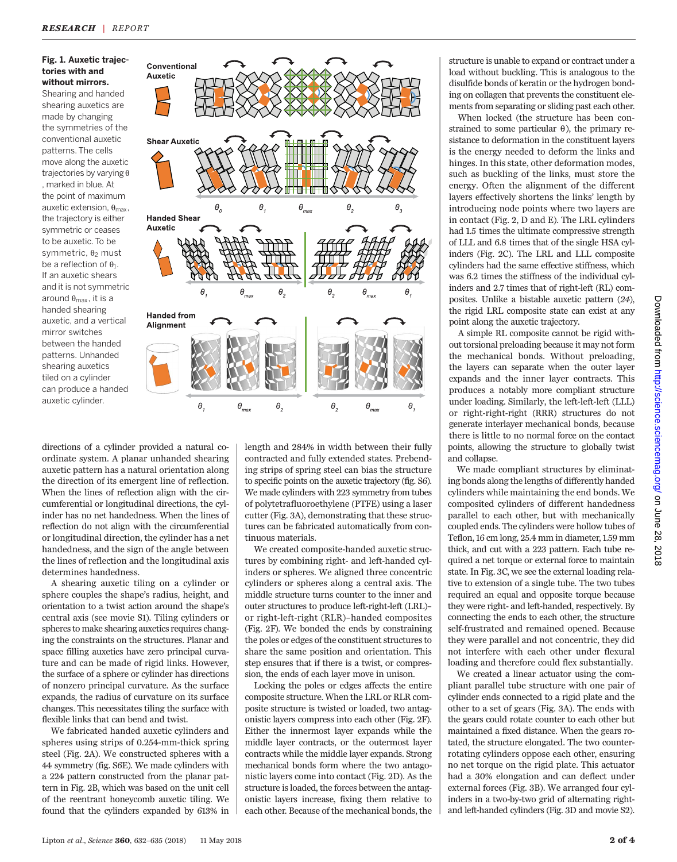#### Fig. 1. Auxetic trajectories with and without mirrors.

Shearing and handed shearing auxetics are made by changing the symmetries of the conventional auxetic patterns. The cells move along the auxetic trajectories by varying  $\theta$ , marked in blue. At the point of maximum auxetic extension,  $\theta_{\text{max}}$ , the trajectory is either symmetric or ceases to be auxetic. To be symmetric,  $\theta_2$  must be a reflection of  $\theta_1$ . If an auxetic shears and it is not symmetric around  $\theta_{\text{max}}$ , it is a handed shearing auxetic, and a vertical mirror switches between the handed patterns. Unhanded shearing auxetics tiled on a cylinder can produce a handed auxetic cylinder.



directions of a cylinder provided a natural coordinate system. A planar unhanded shearing auxetic pattern has a natural orientation along the direction of its emergent line of reflection. When the lines of reflection align with the circumferential or longitudinal directions, the cylinder has no net handedness. When the lines of reflection do not align with the circumferential or longitudinal direction, the cylinder has a net handedness, and the sign of the angle between the lines of reflection and the longitudinal axis determines handedness.

A shearing auxetic tiling on a cylinder or sphere couples the shape's radius, height, and orientation to a twist action around the shape's central axis (see movie S1). Tiling cylinders or spheres to make shearing auxetics requires changing the constraints on the structures. Planar and space filling auxetics have zero principal curvature and can be made of rigid links. However, the surface of a sphere or cylinder has directions of nonzero principal curvature. As the surface expands, the radius of curvature on its surface changes. This necessitates tiling the surface with flexible links that can bend and twist.

We fabricated handed auxetic cylinders and spheres using strips of 0.254-mm-thick spring steel (Fig. 2A). We constructed spheres with a 44 symmetry (fig. S6E). We made cylinders with a 224 pattern constructed from the planar pattern in Fig. 2B, which was based on the unit cell of the reentrant honeycomb auxetic tiling. We found that the cylinders expanded by 613% in

length and 284% in width between their fully contracted and fully extended states. Prebending strips of spring steel can bias the structure to specific points on the auxetic trajectory (fig. S6). We made cylinders with 223 symmetry from tubes of polytetrafluoroethylene (PTFE) using a laser cutter (Fig. 3A), demonstrating that these structures can be fabricated automatically from continuous materials.

We created composite-handed auxetic structures by combining right- and left-handed cylinders or spheres. We aligned three concentric cylinders or spheres along a central axis. The middle structure turns counter to the inner and outer structures to produce left-right-left (LRL)– or right-left-right (RLR)–handed composites (Fig. 2F). We bonded the ends by constraining the poles or edges of the constituent structures to share the same position and orientation. This step ensures that if there is a twist, or compression, the ends of each layer move in unison.

Locking the poles or edges affects the entire composite structure. When the LRL or RLR composite structure is twisted or loaded, two antagonistic layers compress into each other (Fig. 2F). Either the innermost layer expands while the middle layer contracts, or the outermost layer contracts while the middle layer expands. Strong mechanical bonds form where the two antagonistic layers come into contact (Fig. 2D). As the structure is loaded, the forces between the antagonistic layers increase, fixing them relative to each other. Because of the mechanical bonds, the structure is unable to expand or contract under a load without buckling. This is analogous to the disulfide bonds of keratin or the hydrogen bonding on collagen that prevents the constituent elements from separating or sliding past each other.

When locked (the structure has been constrained to some particular  $\theta$ ), the primary resistance to deformation in the constituent layers is the energy needed to deform the links and hinges. In this state, other deformation modes, such as buckling of the links, must store the energy. Often the alignment of the different layers effectively shortens the links' length by introducing node points where two layers are in contact (Fig. 2, D and E). The LRL cylinders had 1.5 times the ultimate compressive strength of LLL and 6.8 times that of the single HSA cylinders (Fig. 2C). The LRL and LLL composite cylinders had the same effective stiffness, which was 6.2 times the stiffness of the individual cylinders and 2.7 times that of right-left (RL) composites. Unlike a bistable auxetic pattern (24), the rigid LRL composite state can exist at any point along the auxetic trajectory.

A simple RL composite cannot be rigid without torsional preloading because it may not form the mechanical bonds. Without preloading, the layers can separate when the outer layer expands and the inner layer contracts. This produces a notably more compliant structure under loading. Similarly, the left-left-left (LLL) or right-right-right (RRR) structures do not generate interlayer mechanical bonds, because there is little to no normal force on the contact points, allowing the structure to globally twist and collapse.

We made compliant structures by eliminating bonds along the lengths of differently handed cylinders while maintaining the end bonds. We composited cylinders of different handedness parallel to each other, but with mechanically coupled ends. The cylinders were hollow tubes of Teflon, 16 cm long, 25.4 mm in diameter, 1.59 mm thick, and cut with a 223 pattern. Each tube required a net torque or external force to maintain state. In Fig. 3C, we see the external loading relative to extension of a single tube. The two tubes required an equal and opposite torque because they were right- and left-handed, respectively. By connecting the ends to each other, the structure self-frustrated and remained opened. Because they were parallel and not concentric, they did not interfere with each other under flexural loading and therefore could flex substantially.

We created a linear actuator using the compliant parallel tube structure with one pair of cylinder ends connected to a rigid plate and the other to a set of gears (Fig. 3A). The ends with the gears could rotate counter to each other but maintained a fixed distance. When the gears rotated, the structure elongated. The two counterrotating cylinders oppose each other, ensuring no net torque on the rigid plate. This actuator had a 30% elongation and can deflect under external forces (Fig. 3B). We arranged four cylinders in a two-by-two grid of alternating rightand left-handed cylinders (Fig. 3D and movie S2).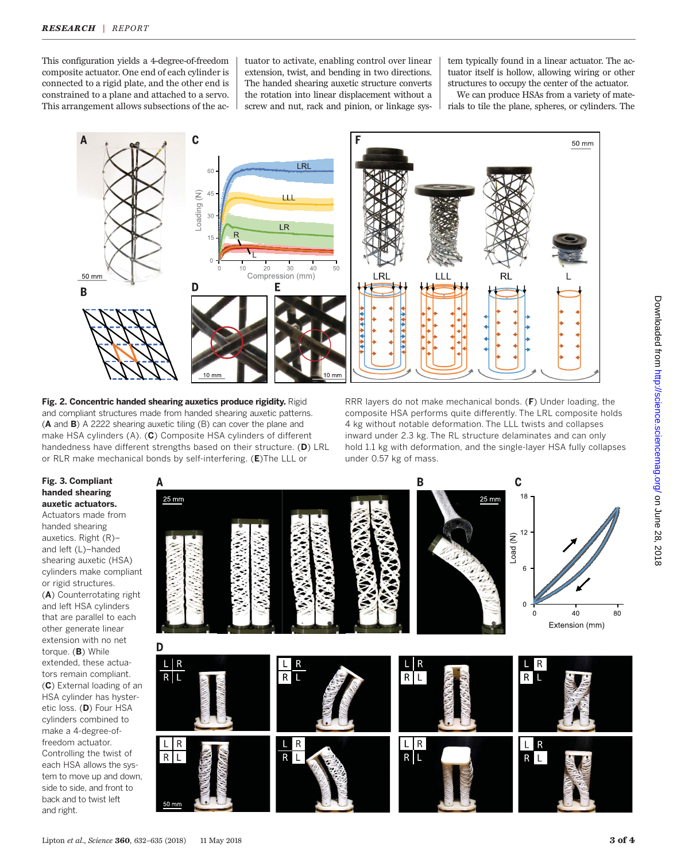This configuration yields a 4-degree-of-freedom composite actuator. One end of each cylinder is connected to a rigid plate, and the other end is constrained to a plane and attached to a servo. This arrangement allows subsections of the actuator to activate, enabling control over linear extension, twist, and bending in two directions. The handed shearing auxetic structure converts the rotation into linear displacement without a screw and nut, rack and pinion, or linkage sys-

tem typically found in a linear actuator. The actuator itself is hollow, allowing wiring or other structures to occupy the center of the actuator.

We can produce HSAs from a variety of materials to tile the plane, spheres, or cylinders. The



Fig. 2. Concentric handed shearing auxetics produce rigidity. Rigid and compliant structures made from handed shearing auxetic patterns. (A and B) A 2222 shearing auxetic tiling (B) can cover the plane and make HSA cylinders (A). (C) Composite HSA cylinders of different handedness have different strengths based on their structure. (D) LRL or RLR make mechanical bonds by self-interfering. (E)The LLL or

RRR layers do not make mechanical bonds.  $(F)$  Under loading, the composite HSA performs quite differently. The LRL composite holds 4 kg without notable deformation. The LLL twists and collapses inward under 2.3 kg. The RL structure delaminates and can only hold 1.1 kg with deformation, and the single-layer HSA fully collapses under 0.57 kg of mass.

### Fig. 3. Compliant handed shearing auxetic actuators.

Actuators made from handed shearing auxetics. Right (R)– and left (L)–handed shearing auxetic (HSA) cylinders make compliant or rigid structures. (A) Counterrotating right and left HSA cylinders that are parallel to each other generate linear extension with no net torque. (B) While extended, these actuators remain compliant. (C) External loading of an HSA cylinder has hysteretic loss. (D) Four HSA cylinders combined to make a 4-degree-offreedom actuator. Controlling the twist of each HSA allows the system to move up and down, side to side, and front to back and to twist left and right.

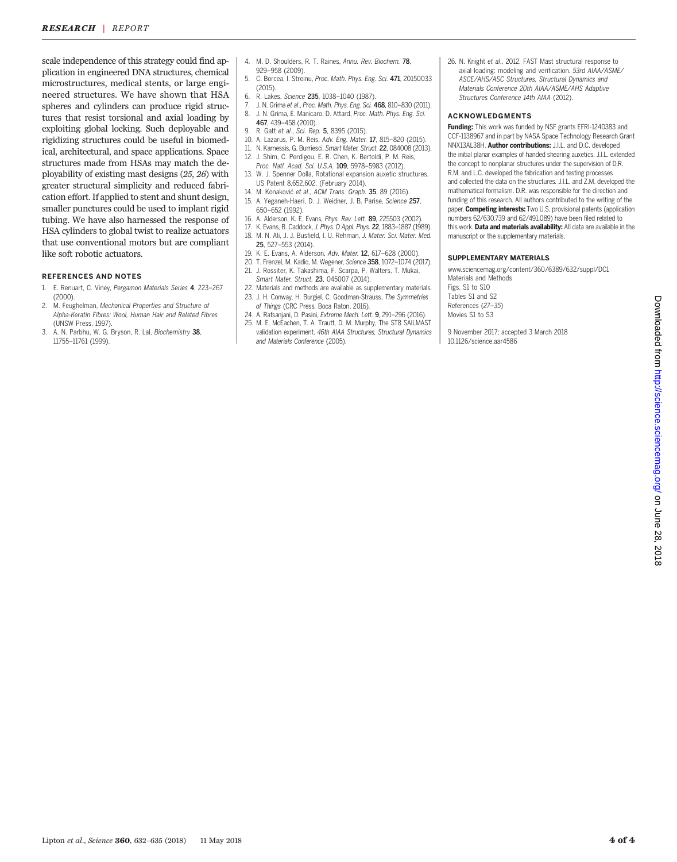scale independence of this strategy could find application in engineered DNA structures, chemical microstructures, medical stents, or large engineered structures. We have shown that HSA spheres and cylinders can produce rigid structures that resist torsional and axial loading by exploiting global locking. Such deployable and rigidizing structures could be useful in biomedical, architectural, and space applications. Space structures made from HSAs may match the deployability of existing mast designs (25, 26) with greater structural simplicity and reduced fabrication effort. If applied to stent and shunt design, smaller punctures could be used to implant rigid tubing. We have also harnessed the response of HSA cylinders to global twist to realize actuators that use conventional motors but are compliant like soft robotic actuators.

#### REFERENCES AND NOTES

- 1. E. Renuart, C. Viney, Pergamon Materials Series 4, 223–267 (2000).
- 2. M. Feughelman, Mechanical Properties and Structure of Alpha-Keratin Fibres: Wool, Human Hair and Related Fibres (UNSW Press, 1997).
- 3. A. N. Parbhu, W. G. Bryson, R. Lal, Biochemistry 38, 11755–11761 (1999).
- 4. M. D. Shoulders, R. T. Raines, Annu. Rev. Biochem. 78, 929–958 (2009).
- 5. C. Borcea, I. Streinu, Proc. Math. Phys. Eng. Sci. 471, 20150033 (2015).
- 6. R. Lakes, Science 235, 1038–1040 (1987).
- 7. J. N. Grima et al., Proc. Math. Phys. Eng. Sci. 468, 810–830 (2011). 8. J. N. Grima, E. Manicaro, D. Attard, Proc. Math. Phys. Eng. Sci. 467, 439–458 (2010).
- 9. R. Gatt et al., Sci. Rep. 5, 8395 (2015).
- 10. A. Lazarus, P. M. Reis, Adv. Eng. Mater. 17, 815–820 (2015).
- 11. N. Karnessis, G. Burriesci, Smart Mater. Struct. 22, 084008 (2013).
- 12. J. Shim, C. Perdigou, E. R. Chen, K. Bertoldi, P. M. Reis,
- Proc. Natl. Acad. Sci. U.S.A. 109, 5978–5983 (2012). 13. W. J. Spenner Dolla, Rotational expansion auxetic structures.
- US Patent 8,652,602. (February 2014). 14. M. Konaković et al., ACM Trans. Graph. 35, 89 (2016).
- 15. A. Yeganeh-Haeri, D. J. Weidner, J. B. Parise, Science 257, 650–652 (1992).
- 16. A. Alderson, K. E. Evans, Phys. Rev. Lett. 89, 225503 (2002).
- 17. K. Evans, B. Caddock, J. Phys. D Appl. Phys. 22, 1883–1887 (1989). 18. M. N. Ali, J. J. Busfield, I. U. Rehman, J. Mater. Sci. Mater. Med. 25, 527–553 (2014).
- 19. K. E. Evans, A. Alderson, Adv. Mater. 12, 617–628 (2000).
- 20. T. Frenzel, M. Kadic, M. Wegener, Science 358, 1072–1074 (2017). 21. J. Rossiter, K. Takashima, F. Scarpa, P. Walters, T. Mukai,
- Smart Mater. Struct. 23, 045007 (2014).
- 22. Materials and methods are available as supplementary materials. 23. J. H. Conway, H. Burgiel, C. Goodman-Strauss, The Symmetries
- of Things (CRC Press, Boca Raton, 2016). 24. A. Rafsanjani, D. Pasini, Extreme Mech. Lett. 9, 291–296 (2016).
- 25. M. E. McEachen, T. A. Trautt, D. M. Murphy, The ST8 SAILMAST validation experiment. 46th AIAA Structures, Structural Dynamics and Materials Conference (2005).

26. N. Knight et al., 2012. FAST Mast structural response to axial loading: modeling and verification. 53rd AIAA/ASME/ ASCE/AHS/ASC Structures, Structural Dynamics and Materials Conference 20th AIAA/ASME/AHS Adaptive Structures Conference 14th AIAA (2012).

#### ACKNOWLEDGMENTS

Funding: This work was funded by NSF grants EFRI-1240383 and CCF-1138967 and in part by NASA Space Technology Research Grant NNX13AL38H. Author contributions: J.I.L. and D.C. developed the initial planar examples of handed shearing auxetics. J.I.L. extended the concept to nonplanar structures under the supervision of D.R. R.M. and L.C. developed the fabrication and testing processes and collected the data on the structures. J.I.L. and Z.M. developed the mathematical formalism. D.R. was responsible for the direction and funding of this research. All authors contributed to the writing of the paper. Competing interests: Two U.S. provisional patents (application numbers 62/630,739 and 62/491,089) have been filed related to this work. Data and materials availability: All data are available in the manuscript or the supplementary materials.

#### SUPPLEMENTARY MATERIALS

[www.sciencemag.org/content/360/6389/632/suppl/DC1](http://www.sciencemag.org/content/360/6389/632/suppl/DC1) Materials and Methods Figs. S1 to S10 Tables S1 and S2 References (27–35) Movies S1 to S3

9 November 2017; accepted 3 March 2018 10.1126/science.aar4586